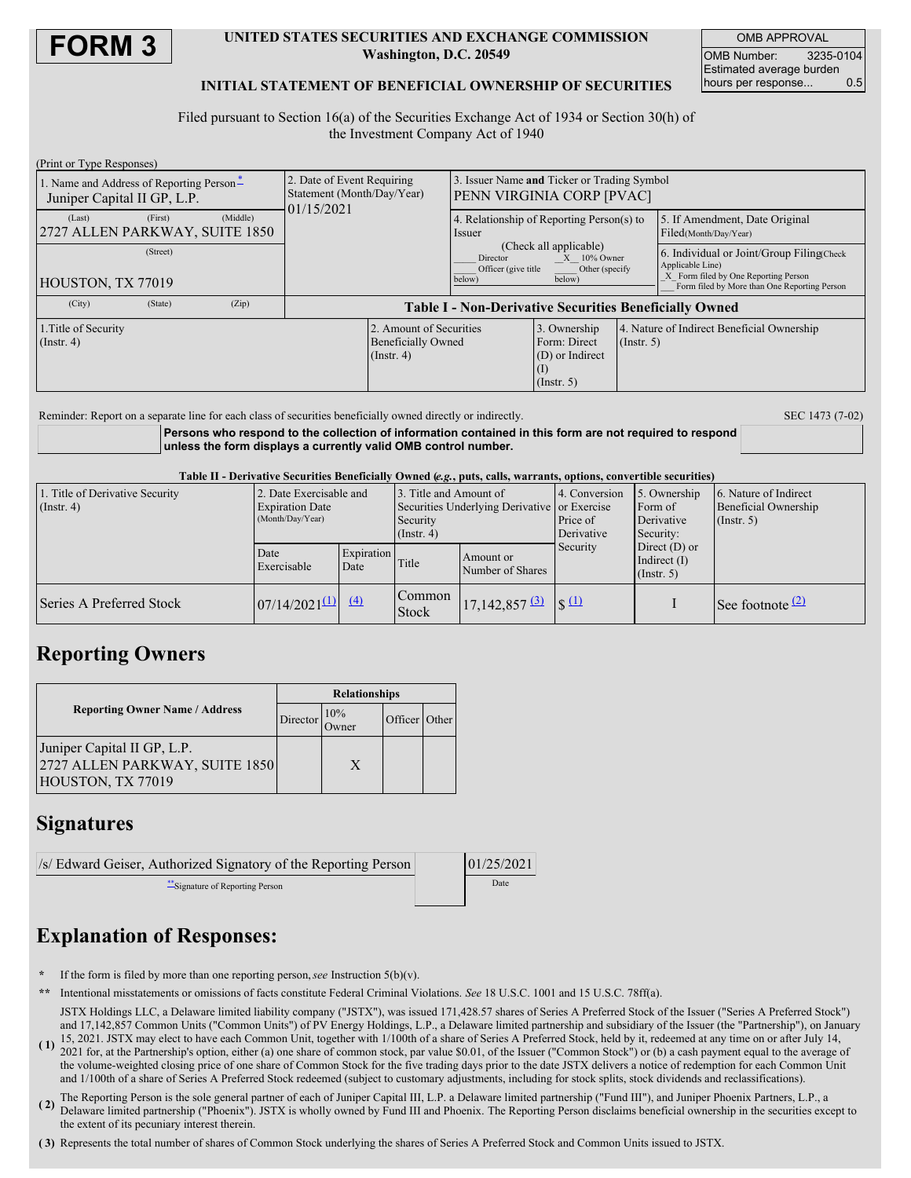

#### **UNITED STATES SECURITIES AND EXCHANGE COMMISSION Washington, D.C. 20549**

OMB APPROVAL OMB Number: 3235-0104 Estimated average burden hours per response... 0.5

#### **INITIAL STATEMENT OF BENEFICIAL OWNERSHIP OF SECURITIES**

Filed pursuant to Section 16(a) of the Securities Exchange Act of 1934 or Section 30(h) of the Investment Company Act of 1940

| (Print or Type Responses)                                               |          |                                                                                                             |                                                                          |  |                                                                                                                                                                            |                                                           |  |                                                                                                                                                       |  |
|-------------------------------------------------------------------------|----------|-------------------------------------------------------------------------------------------------------------|--------------------------------------------------------------------------|--|----------------------------------------------------------------------------------------------------------------------------------------------------------------------------|-----------------------------------------------------------|--|-------------------------------------------------------------------------------------------------------------------------------------------------------|--|
| 1. Name and Address of Reporting Person-<br>Juniper Capital II GP, L.P. |          |                                                                                                             | 2. Date of Event Requiring<br>Statement (Month/Day/Year)<br>01/15/2021   |  | Issuer Name and Ticker or Trading Symbol<br><b>PENN VIRGINIA CORP [PVAC]</b>                                                                                               |                                                           |  |                                                                                                                                                       |  |
| (Last)<br>2727 ALLEN PARKWAY, SUITE 1850                                | (First)  | (Middle)                                                                                                    |                                                                          |  | 4. Relationship of Reporting Person(s) to<br>Issuer<br>(Check all applicable)<br>Director<br>$X = 10\%$ Owner<br>Officer (give title<br>Other (specify<br>below)<br>below) |                                                           |  | 5. If Amendment, Date Original<br>Filed(Month/Day/Year)                                                                                               |  |
| HOUSTON, TX 77019                                                       | (Street) |                                                                                                             |                                                                          |  |                                                                                                                                                                            |                                                           |  | 6. Individual or Joint/Group Filing Check<br>Applicable Line)<br>X Form filed by One Reporting Person<br>Form filed by More than One Reporting Person |  |
| (City)                                                                  | (State)  | (Zip)                                                                                                       | <b>Table I - Non-Derivative Securities Beneficially Owned</b>            |  |                                                                                                                                                                            |                                                           |  |                                                                                                                                                       |  |
| 1. Title of Security<br>(Insert 4)                                      |          |                                                                                                             | 2. Amount of Securities<br><b>Beneficially Owned</b><br>$($ Instr. 4 $)$ |  | 3. Ownership<br>Form: Direct<br>(D) or Indirect<br>(1)<br>$($ Instr. 5 $)$                                                                                                 | 4. Nature of Indirect Beneficial Ownership<br>(Insert, 5) |  |                                                                                                                                                       |  |
|                                                                         |          | Reminder: Report on a separate line for each class of securities beneficially owned directly or indirectly. |                                                                          |  |                                                                                                                                                                            |                                                           |  | SEC 1473 (7-02)                                                                                                                                       |  |

**Persons who respond to the collection of information contained in this form are not required to respond unless the form displays a currently valid OMB control number.**

Table II - Derivative Securities Beneficially Owned (e.g., puts. calls. warrants, options, convertible securities)

| 1. Title of Derivative Security<br>$($ Instr. 4) | 2. Date Exercisable and<br><b>Expiration Date</b><br>(Month/Day/Year) |                    | 3. Title and Amount of<br>Securities Underlying Derivative or Exercise<br>Security<br>$($ Instr. 4 $)$ |                                                   | 4. Conversion<br>Price of<br>Derivative | 5. Ownership<br>Form of<br>Derivative<br>Security: | 6. Nature of Indirect<br>Beneficial Ownership<br>$($ Instr. 5 $)$ |  |
|--------------------------------------------------|-----------------------------------------------------------------------|--------------------|--------------------------------------------------------------------------------------------------------|---------------------------------------------------|-----------------------------------------|----------------------------------------------------|-------------------------------------------------------------------|--|
|                                                  | Date<br>Exercisable                                                   | Expiration<br>Date | Title                                                                                                  | Amount or<br>Number of Shares                     | Security                                | Direct $(D)$ or<br>Indirect $(I)$<br>(Insert, 5)   |                                                                   |  |
| Series A Preferred Stock                         | $07/14/2021^{(1)}$ (4)                                                |                    | <b>Common</b><br>Stock                                                                                 | $17,142,857$ $\boxed{3}$ $\boxed{\$}$ $\boxed{1}$ |                                         |                                                    | See footnote <sup><math>(2)</math></sup>                          |  |

## **Reporting Owners**

|                                                                                    | <b>Relationships</b> |                                       |  |  |  |
|------------------------------------------------------------------------------------|----------------------|---------------------------------------|--|--|--|
| <b>Reporting Owner Name / Address</b>                                              | Director             | 10%<br>Officer Other<br><b>J</b> wner |  |  |  |
| Juniper Capital II GP, L.P.<br>2727 ALLEN PARKWAY, SUITE 1850<br>HOUSTON, TX 77019 |                      | X                                     |  |  |  |

### **Signatures**

| /s/ Edward Geiser, Authorized Signatory of the Reporting Person | 01/25/2021 |
|-----------------------------------------------------------------|------------|
| **Signature of Reporting Person                                 | Date       |

# **Explanation of Responses:**

- If the form is filed by more than one reporting person, see Instruction  $5(b)(v)$ .
- **\*\*** Intentional misstatements or omissions of facts constitute Federal Criminal Violations. *See* 18 U.S.C. 1001 and 15 U.S.C. 78ff(a).
- **( 1)** 15, 2021. JSTX may elect to have each Common Unit, together with 1/100th of a share of Series A Preferred Stock, held by it, redeemed at any time on or after July 14, JSTX Holdings LLC, a Delaware limited liability company ("JSTX"), was issued 171,428.57 shares of Series A Preferred Stock of the Issuer ("Series A Preferred Stock") and 17,142,857 Common Units ("Common Units") of PV Energy Holdings, L.P., a Delaware limited partnership and subsidiary of the Issuer (the "Partnership"), on January
- 2021 for, at the Partnership's option, either (a) one share of common stock, par value \$0.01, of the Issuer ("Common Stock") or (b) a cash payment equal to the average of the volume-weighted closing price of one share of Common Stock for the five trading days prior to the date JSTX delivers a notice of redemption for each Common Unit and 1/100th of a share of Series A Preferred Stock redeemed (subject to customary adjustments, including for stock splits, stock dividends and reclassifications).
- **( 2)** The Reporting Person is the sole general partner of each of Juniper Capital III, L.P. a Delaware limited partnership ("Fund III"), and Juniper Phoenix Partners, L.P., a Delaware limited partnership ("Phoenix"). JSTX is wholly owned by Fund III and Phoenix. The Reporting Person disclaims beneficial ownership in the securities except to the extent of its pecuniary interest therein.
- **( 3)** Represents the total number of shares of Common Stock underlying the shares of Series A Preferred Stock and Common Units issued to JSTX.